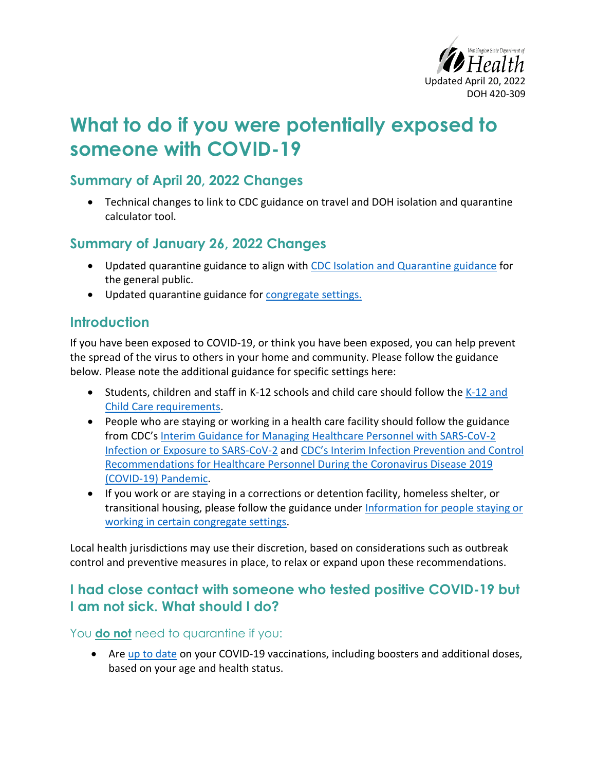

# **What to do if you were potentially exposed to someone with COVID-19**

## **Summary of April 20, 2022 Changes**

• Technical changes to link to CDC guidance on travel and DOH isolation and quarantine calculator tool.

## **Summary of January 26, 2022 Changes**

- Updated quarantine guidance to align with [CDC Isolation and Quarantine guidance](https://www.cdc.gov/coronavirus/2019-ncov/your-health/quarantine-isolation.html) for the general public.
- Updated quarantine guidance for [congregate settings.](#page-2-0)

## **Introduction**

If you have been exposed to COVID-19, or think you have been exposed, you can help prevent the spread of the virus to others in your home and community. Please follow the guidance below. Please note the additional guidance for specific settings here:

- Students, children and staff in K-12 schools and child care should follow the [K-12 and](https://doh.wa.gov/sites/default/files/2022-03/821-165-K12SchoolsChildCare.pdf)  [Child Care requirements.](https://doh.wa.gov/sites/default/files/2022-03/821-165-K12SchoolsChildCare.pdf)
- People who are staying or working in a health care facility should follow the guidance from CDC's [Interim Guidance for Managing Healthcare Personnel with SARS-CoV-2](https://www.cdc.gov/coronavirus/2019-ncov/hcp/guidance-risk-assesment-hcp.html)  [Infection or Exposure to SARS-CoV-2](https://www.cdc.gov/coronavirus/2019-ncov/hcp/guidance-risk-assesment-hcp.html) and [CDC's Interim Infection Prevention and Control](https://www.cdc.gov/coronavirus/2019-ncov/hcp/infection-control-recommendations.html)  [Recommendations for Healthcare Personnel During the Coronavirus Disease 2019](https://www.cdc.gov/coronavirus/2019-ncov/hcp/infection-control-recommendations.html)  [\(COVID-19\) Pandemic.](https://www.cdc.gov/coronavirus/2019-ncov/hcp/infection-control-recommendations.html)
- If you work or are staying in a corrections or detention facility, homeless shelter, or transitional housing, please follow the guidance under [Information for people staying or](#page-2-0)  [working in certain congregate settings.](#page-2-0)

<span id="page-0-0"></span>Local health jurisdictions may use their discretion, based on considerations such as outbreak control and preventive measures in place, to relax or expand upon these recommendations.

## **I had close contact with someone who tested positive COVID-19 but I am not sick. What should I do?**

#### You **do not** need to quarantine if you:

• Are [up to date](https://www.cdc.gov/coronavirus/2019-ncov/vaccines/stay-up-to-date.html) on your COVID-19 vaccinations, including boosters and additional doses, based on your age and health status.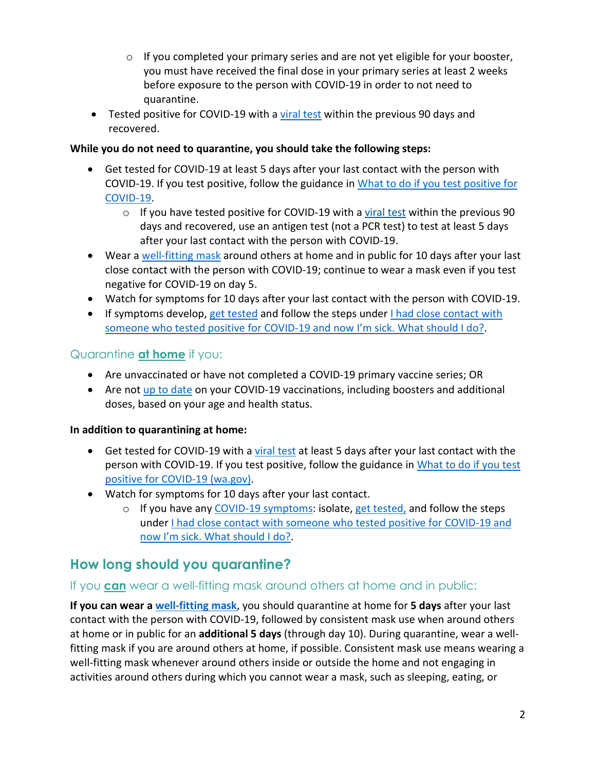- $\circ$  If you completed your primary series and are not yet eligible for your booster, you must have received the final dose in your primary series at least 2 weeks before exposure to the person with COVID-19 in order to not need to quarantine.
- Tested positive for COVID-19 with a [viral test](https://www.cdc.gov/coronavirus/2019-ncov/symptoms-testing/testing.html) within the previous 90 days and recovered.

#### **While you do not need to quarantine, you should take the following steps:**

- Get tested for COVID-19 at least 5 days after your last contact with the person with COVID-19. If you test positive, follow the guidance in [What to do if you test positive for](https://www.doh.wa.gov/Portals/1/Documents/1600/coronavirus/COVIDcasepositive.pdf)  [COVID-19.](https://www.doh.wa.gov/Portals/1/Documents/1600/coronavirus/COVIDcasepositive.pdf)
	- $\circ$  If you have tested positive for COVID-19 with a [viral test](https://www.cdc.gov/coronavirus/2019-ncov/symptoms-testing/testing.html) within the previous 90 days and recovered, use an antigen test (not a PCR test) to test at least 5 days after your last contact with the person with COVID-19.
- Wear a [well-fitting mask](https://www.cdc.gov/coronavirus/2019-ncov/prevent-getting-sick/about-face-coverings.html) around others at home and in public for 10 days after your last close contact with the person with COVID-19; continue to wear a mask even if you test negative for COVID-19 on day 5.
- Watch for symptoms for 10 days after your last contact with the person with COVID-19.
- If symptoms develop, [get tested](https://www.doh.wa.gov/Emergencies/COVID19/TestingforCOVID19) and follow the steps under I had close contact with [someone who tested positive for COVID-19 and now I'm sick. What should I do?.](#page-3-0)

#### Quarantine **at home** if you:

- Are unvaccinated or have not completed a COVID-19 primary vaccine series; OR
- Are not [up to date](https://www.cdc.gov/coronavirus/2019-ncov/vaccines/stay-up-to-date.html) on your COVID-19 vaccinations, including boosters and additional doses, based on your age and health status.

#### **In addition to quarantining at home:**

- Get tested for COVID-19 with a [viral test](https://www.cdc.gov/coronavirus/2019-ncov/testing/diagnostic-testing.html) at least 5 days after your last contact with the person with COVID-19. If you test positive, follow the guidance in [What to do if you test](https://www.doh.wa.gov/Portals/1/Documents/1600/coronavirus/COVIDcasepositive.pdf)  [positive for COVID-19 \(wa.gov\).](https://www.doh.wa.gov/Portals/1/Documents/1600/coronavirus/COVIDcasepositive.pdf)
- Watch for symptoms for 10 days after your last contact.
	- o If you have any [COVID-19 symptoms:](https://www.cdc.gov/coronavirus/2019-ncov/symptoms-testing/symptoms.html) isolate, [get tested,](https://www.doh.wa.gov/Emergencies/COVID19/TestingforCOVID19) and follow the steps under [I had close contact with someone who tested positive for COVID-19 and](#page-3-0)  [now I'm sick. What should I do?.](#page-3-0)

# **How long should you quarantine?**

#### If you **can** wear a well-fitting mask around others at home and in public:

**If you can wear [a well-fitting mask](https://www.cdc.gov/coronavirus/2019-ncov/your-health/effective-masks.html)**, you should quarantine at home for **5 days** after your last contact with the person with COVID-19, followed by consistent mask use when around others at home or in public for an **additional 5 days** (through day 10). During quarantine, wear a wellfitting mask if you are around others at home, if possible. Consistent mask use means wearing a well-fitting mask whenever around others inside or outside the home and not engaging in activities around others during which you cannot wear a mask, such as sleeping, eating, or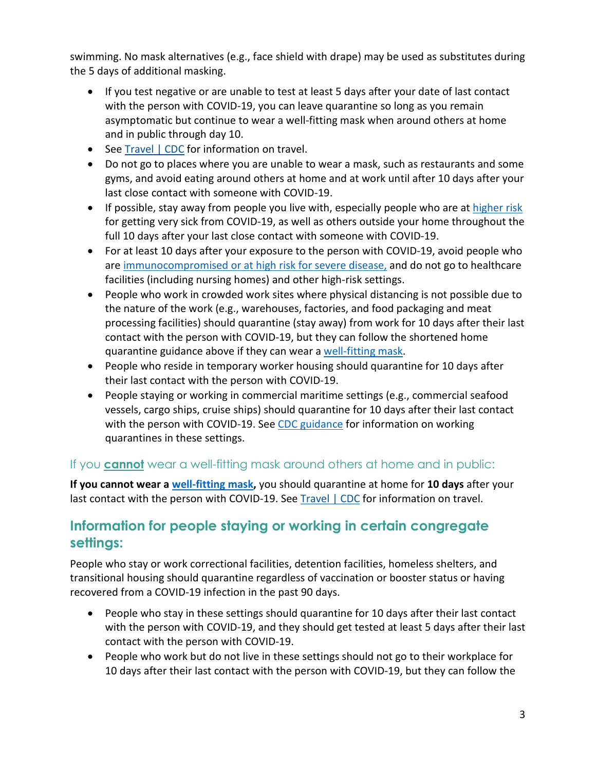swimming. No mask alternatives (e.g., face shield with drape) may be used as substitutes during the 5 days of additional masking.

- If you test negative or are unable to test at least 5 days after your date of last contact with the person with COVID-19, you can leave quarantine so long as you remain asymptomatic but continue to wear a well-fitting mask when around others at home and in public through day 10.
- See [Travel | CDC](https://www.cdc.gov/coronavirus/2019-ncov/travelers/index.html#do-not-travel) for information on travel.
- Do not go to places where you are unable to wear a mask, such as restaurants and some gyms, and avoid eating around others at home and at work until after 10 days after your last close contact with someone with COVID-19.
- If possible, stay away from people you live with, especially people who are at [higher risk](https://www.cdc.gov/coronavirus/2019-ncov/need-extra-precautions/index.html) for getting very sick from COVID-19, as well as others outside your home throughout the full 10 days after your last close contact with someone with COVID-19.
- For at least 10 days after your exposure to the person with COVID-19, avoid people who are [immunocompromised or at high risk for severe disease,](https://www.cdc.gov/coronavirus/2019-ncov/need-extra-precautions/people-with-medical-conditions.html) and do not go to healthcare facilities (including nursing homes) and other high-risk settings.
- People who work in crowded work sites where physical distancing is not possible due to the nature of the work (e.g., warehouses, factories, and food packaging and meat processing facilities) should quarantine (stay away) from work for 10 days after their last contact with the person with COVID-19, but they can follow the shortened home quarantine guidance above if they can wear [a well-fitting mask.](https://www.cdc.gov/coronavirus/2019-ncov/prevent-getting-sick/about-face-coverings.html)
- People who reside in temporary worker housing should quarantine for 10 days after their last contact with the person with COVID-19.
- People staying or working in commercial maritime settings (e.g., commercial seafood vessels, cargo ships, cruise ships) should quarantine for 10 days after their last contact with the person with COVID-19. See [CDC guidance](https://www.cdc.gov/quarantine/maritime/recommendations-for-ships.html) for information on working quarantines in these settings.

#### If you **cannot** wear a well-fitting mask around others at home and in public:

**If you cannot wear [a well-fitting mask,](https://www.cdc.gov/coronavirus/2019-ncov/prevent-getting-sick/about-face-coverings.html)** you should quarantine at home for **10 days** after your last contact with the person with COVID-19. See [Travel | CDC](https://www.cdc.gov/coronavirus/2019-ncov/travelers/index.html#do-not-travel) for information on travel.

## <span id="page-2-0"></span>**Information for people staying or working in certain congregate settings:**

People who stay or work correctional facilities, detention facilities, homeless shelters, and transitional housing should quarantine regardless of vaccination or booster status or having recovered from a COVID-19 infection in the past 90 days.

- People who stay in these settings should quarantine for 10 days after their last contact with the person with COVID-19, and they should get tested at least 5 days after their last contact with the person with COVID-19.
- People who work but do not live in these settings should not go to their workplace for 10 days after their last contact with the person with COVID-19, but they can follow the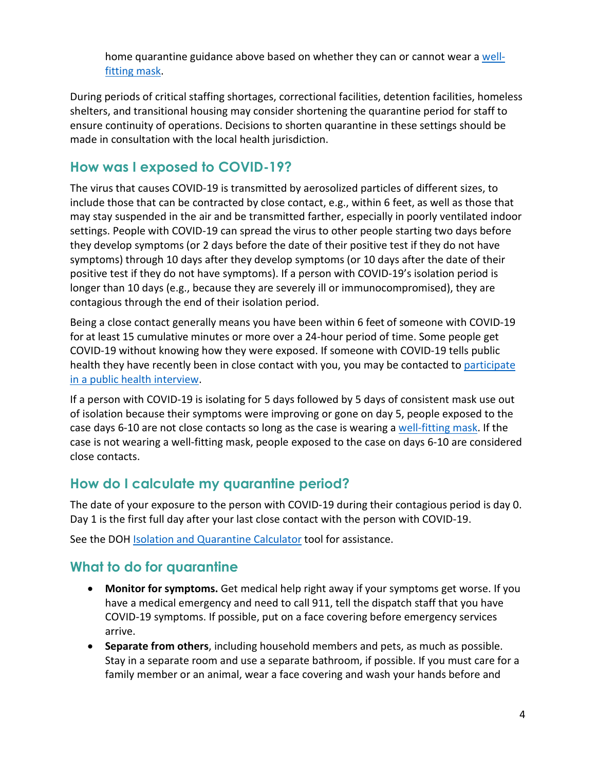home quarantine guidance above based on whether they can or cannot wear a [well](https://www.cdc.gov/coronavirus/2019-ncov/prevent-getting-sick/about-face-coverings.html)[fitting mask.](https://www.cdc.gov/coronavirus/2019-ncov/prevent-getting-sick/about-face-coverings.html)

During periods of critical staffing shortages, correctional facilities, detention facilities, homeless shelters, and transitional housing may consider shortening the quarantine period for staff to ensure continuity of operations. Decisions to shorten quarantine in these settings should be made in consultation with the local health jurisdiction.

# <span id="page-3-0"></span>**How was I exposed to COVID-19?**

The virus that causes COVID-19 is transmitted by aerosolized particles of different sizes, to include those that can be contracted by close contact, e.g., within 6 feet, as well as those that may stay suspended in the air and be transmitted farther, especially in poorly ventilated indoor settings. People with COVID-19 can spread the virus to other people starting two days before they develop symptoms (or 2 days before the date of their positive test if they do not have symptoms) through 10 days after they develop symptoms (or 10 days after the date of their positive test if they do not have symptoms). If a person with COVID-19's isolation period is longer than 10 days (e.g., because they are severely ill or immunocompromised), they are contagious through the end of their isolation period.

Being a close contact generally means you have been within 6 feet of someone with COVID-19 for at least 15 cumulative minutes or more over a 24-hour period of time. Some people get COVID-19 without knowing how they were exposed. If someone with COVID-19 tells public health they have recently been in close contact with you, you may be contacted to participate [in a public health interview.](#page-4-0)

If a person with COVID-19 is isolating for 5 days followed by 5 days of consistent mask use out of isolation because their symptoms were improving or gone on day 5, people exposed to the case days 6-10 are not close contacts so long as the case is wearing a [well-fitting mask.](https://www.cdc.gov/coronavirus/2019-ncov/prevent-getting-sick/about-face-coverings.html) If the case is not wearing a well-fitting mask, people exposed to the case on days 6-10 are considered close contacts.

# **How do I calculate my quarantine period?**

The date of your exposure to the person with COVID-19 during their contagious period is day 0. Day 1 is the first full day after your last close contact with the person with COVID-19.

See the DO[H Isolation and Quarantine Calculator](https://doh.wa.gov/emergencies/covid-19/isolation-and-quarantine-covid-19/isolation-and-quarantine-calculator) tool for assistance.

# **What to do for quarantine**

- **Monitor for symptoms.** Get medical help right away if your symptoms get worse. If you have a medical emergency and need to call 911, tell the dispatch staff that you have COVID-19 symptoms. If possible, put on a face covering before emergency services arrive.
- **Separate from others**, including household members and pets, as much as possible. Stay in a separate room and use a separate bathroom, if possible. If you must care for a family member or an animal, wear a face covering and wash your hands before and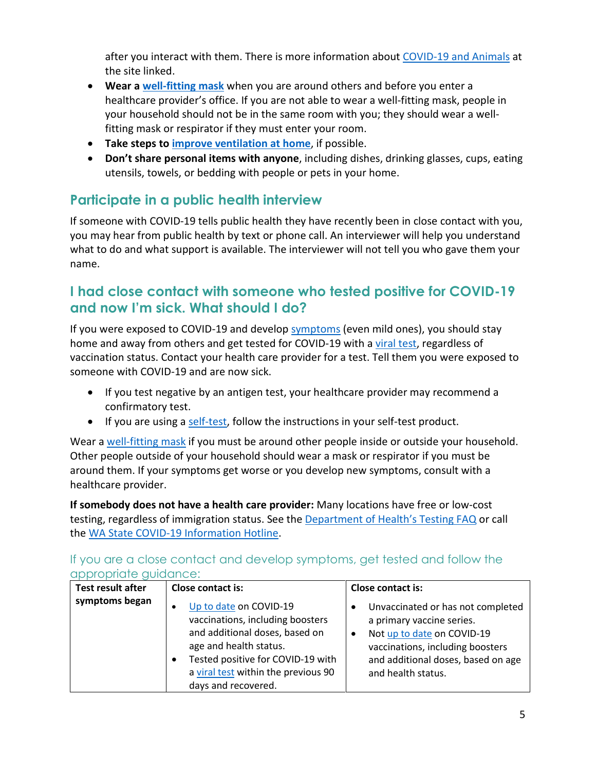after you interact with them. There is more information about [COVID-19 and Animals](https://www.cdc.gov/coronavirus/2019-ncov/daily-life-coping/animals.html) at the site linked.

- **Wear a [well-fitting mask](https://www.cdc.gov/coronavirus/2019-ncov/prevent-getting-sick/about-face-coverings.html)** when you are around others and before you enter a healthcare provider's office. If you are not able to wear a well-fitting mask, people in your household should not be in the same room with you; they should wear a wellfitting mask or respirator if they must enter your room.
- **Take steps to [improve ventilation at home](https://www.cdc.gov/coronavirus/2019-ncov/prevent-getting-sick/Improving-Ventilation-Home.html#:%7E:text=However%2C%20if%20a%20visitor%20needs,getting%20and%20spreading%20COVID%2D19.)**, if possible.
- **Don't share personal items with anyone**, including dishes, drinking glasses, cups, eating utensils, towels, or bedding with people or pets in your home.

# <span id="page-4-0"></span>**Participate in a public health interview**

If someone with COVID-19 tells public health they have recently been in close contact with you, you may hear from public health by text or phone call. An interviewer will help you understand what to do and what support is available. The interviewer will not tell you who gave them your name.

## **I had close contact with someone who tested positive for COVID-19 and now I'm sick. What should I do?**

If you were exposed to COVID-19 and develop [symptoms](https://www.cdc.gov/coronavirus/2019-ncov/symptoms-testing/symptoms.html) (even mild ones), you should stay home and away from others and get tested for COVID-19 with a [viral test,](https://www.cdc.gov/coronavirus/2019-ncov/testing/diagnostic-testing.html) regardless of vaccination status. Contact your health care provider for a test. Tell them you were exposed to someone with COVID-19 and are now sick.

- If you test negative by an antigen test, your healthcare provider may recommend a confirmatory test.
- If you are using [a self-test,](https://www.doh.wa.gov/Portals/1/Documents/1600/coronavirus/420-360-SARSCoV2SelfTesting.pdf) follow the instructions in your self-test product.

Wear a [well-fitting mask](https://www.cdc.gov/coronavirus/2019-ncov/prevent-getting-sick/about-face-coverings.html) if you must be around other people inside or outside your household. Other people outside of your household should wear a mask or respirator if you must be around them. If your symptoms get worse or you develop new symptoms, consult with a healthcare provider.

**If somebody does not have a health care provider:** Many locations have free or low-cost testing, regardless of immigration status. See the [Department of Health's Testing FAQ](https://www.doh.wa.gov/Emergencies/COVID19/TestingforCOVID19) or call the [WA State COVID-19 Information](https://www.doh.wa.gov/Emergencies/COVID19/ContactUs) Hotline.

| appropriare goldaried.<br>Test result after | Close contact is:                                                                                                                                                                                                                      | <b>Close contact is:</b>                                                                                                                                                                                  |
|---------------------------------------------|----------------------------------------------------------------------------------------------------------------------------------------------------------------------------------------------------------------------------------------|-----------------------------------------------------------------------------------------------------------------------------------------------------------------------------------------------------------|
| symptoms began                              | Up to date on COVID-19<br>$\bullet$<br>vaccinations, including boosters<br>and additional doses, based on<br>age and health status.<br>Tested positive for COVID-19 with<br>a viral test within the previous 90<br>days and recovered. | Unvaccinated or has not completed<br>a primary vaccine series.<br>Not up to date on COVID-19<br>$\bullet$<br>vaccinations, including boosters<br>and additional doses, based on age<br>and health status. |

If you are a close contact and develop symptoms, get tested and follow the appropriate guidance: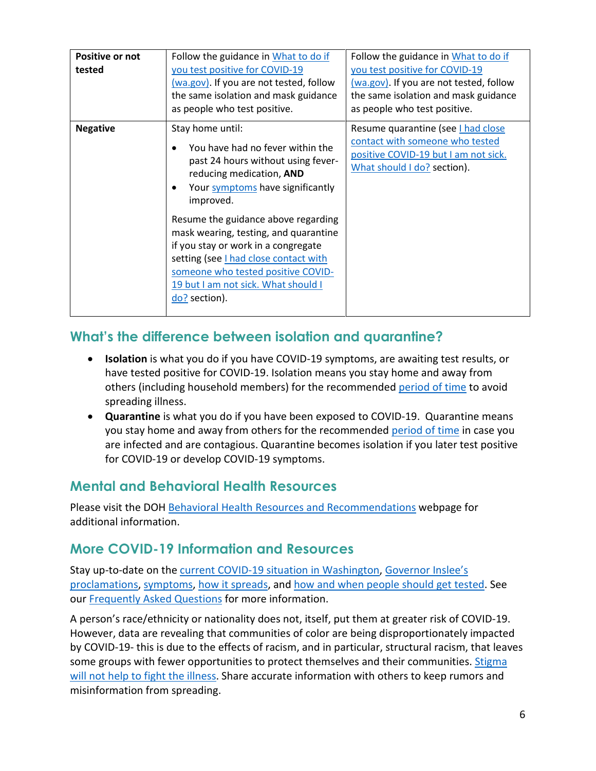| Positive or not<br>tested | Follow the guidance in What to do if<br>you test positive for COVID-19<br>(wa.gov). If you are not tested, follow<br>the same isolation and mask guidance<br>as people who test positive.                                                                                                                                                                                                                                             | Follow the guidance in What to do if<br>you test positive for COVID-19<br>(wa.gov). If you are not tested, follow<br>the same isolation and mask guidance<br>as people who test positive. |
|---------------------------|---------------------------------------------------------------------------------------------------------------------------------------------------------------------------------------------------------------------------------------------------------------------------------------------------------------------------------------------------------------------------------------------------------------------------------------|-------------------------------------------------------------------------------------------------------------------------------------------------------------------------------------------|
| <b>Negative</b>           | Stay home until:<br>You have had no fever within the<br>past 24 hours without using fever-<br>reducing medication, AND<br>Your symptoms have significantly<br>improved.<br>Resume the guidance above regarding<br>mask wearing, testing, and quarantine<br>if you stay or work in a congregate<br>setting (see I had close contact with<br>someone who tested positive COVID-<br>19 but I am not sick. What should I<br>do? section). | Resume quarantine (see I had close<br>contact with someone who tested<br>positive COVID-19 but I am not sick.<br>What should I do? section).                                              |

# **What's the difference between isolation and quarantine?**

- **Isolation** is what you do if you have COVID-19 symptoms, are awaiting test results, or have tested positive for COVID-19. Isolation means you stay home and away from others (including household members) for the recommended [period of time](https://www.doh.wa.gov/Emergencies/COVID19/CaseInvestigationsandContactTracing/IsolationandQuarantineforCOVID19) to avoid spreading illness.
- **Quarantine** is what you do if you have been exposed to COVID-19. Quarantine means you stay home and away from others for the recommended [period of time](https://www.doh.wa.gov/Emergencies/COVID19/CaseInvestigationsandContactTracing/IsolationandQuarantineforCOVID19) in case you are infected and are contagious. Quarantine becomes isolation if you later test positive for COVID-19 or develop COVID-19 symptoms.

# **Mental and Behavioral Health Resources**

Please visit the DOH [Behavioral Health Resources and Recommendations](https://doh.wa.gov/emergencies/covid-19/healthcare-providers/behavioral-health-resources) webpage for additional information.

## **More COVID-19 Information and Resources**

Stay up-to-date on the [current COVID-19 situation in Washington,](https://www.doh.wa.gov/Emergencies/Coronavirus) [Governor Inslee's](https://www.governor.wa.gov/office-governor/official-actions/proclamations)  [proclamations,](https://www.governor.wa.gov/office-governor/official-actions/proclamations) [symptoms,](https://www.doh.wa.gov/Emergencies/NovelCoronavirusOutbreak2020/FrequentlyAskedQuestions#what-are-symptoms) [how it spreads,](https://www.doh.wa.gov/Emergencies/NovelCoronavirusOutbreak2020/FrequentlyAskedQuestions#spread) and [how and when people should get tested.](https://www.doh.wa.gov/Emergencies/NovelCoronavirusOutbreak2020/TestingforCOVID19) See our [Frequently Asked Questions](https://www.doh.wa.gov/Emergencies/NovelCoronavirusOutbreak2020/FrequentlyAskedQuestions) for more information.

A person's race/ethnicity or nationality does not, itself, put them at greater risk of COVID-19. However, data are revealing that communities of color are being disproportionately impacted by COVID-19- this is due to the effects of racism, and in particular, structural racism, that leaves some groups with fewer opportunities to protect themselves and their communities. [Stigma](https://medium.com/wadepthealth/it-takes-all-of-us-to-reduce-stigma-during-disease-outbreaks-310db60dce29)  [will not help to fight the illness.](https://medium.com/wadepthealth/it-takes-all-of-us-to-reduce-stigma-during-disease-outbreaks-310db60dce29) Share accurate information with others to keep rumors and misinformation from spreading.